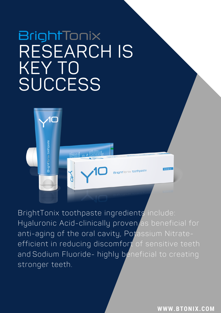# **BrightTonix** RESEARCH IS KEY TO **SUCCESS**

 $\sum_{i=1}^n$ 

BrightTonix toothpaste ingredients include: Hyaluronic Acid-clinically proven as beneficial for anti-aging of the oral cavity, Potassium Nitrateefficient in reducing discomfort of sensitive teeth and Sodium Fluoride- highly beneficial to creating stronger teeth.

**W W W . B T O N I X . C O M**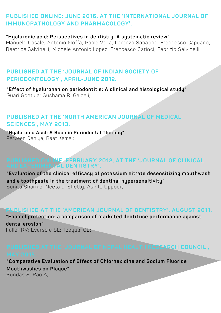## **PUBLISHED ONLINE: JUNE 2016, AT THE 'INTERNATIONAL JOURNAL OF IMMUNOPATHOLOGY AND PHARMACOLOGY'.**

#### **"Hyaluronic acid: Perspectives in dentistry. A systematic review"**

Manuele Casale; Antonio Moffa; Paola Vella; Lorenzo Sabatino; Francesco Capuano; Beatrice Salvinelli; Michele Antonio Lopez; Francesco Carinci; Fabrizio Salvinelli;

#### **PUBLISHED AT THE 'JOURNAL OF INDIAN SOCIETY OF PERIODONTOLOGY', APRIL-JUNE 2012.**

**"Effect of hyaluronan on periodontitis: A clinical and histological study"** Guari Gontiya; Sushama R. Galgali;

### **PUBLISHED AT THE 'NORTH AMERICAN JOURNAL OF MEDICAL SCIENCES', MAY 2013.**

**"Hyaluronic Acid: A Boon in Periodontal Therapy"**  Parveen Dahiya; Reet Kamal;

#### **PUBLISHED ONLINE: FEBRUARY 2012, AT THE 'JOURNAL OF CLINICAL AND EXPERIMENTAL DENTISTRY'.**

**"Evaluation of the clinical efficacy of potassium nitrate desensitizing mouthwash and a toothpaste in the treatment of dentinal hypersensitivity"**  Sunita Sharma; Neeta J. Shetty; Ashita Uppoor;

#### **PUBLISHED AT THE 'AMERICAN JOURNAL OF DENTISTRY', AUGUST 2011.**

**"Enamel protection: a comparison of marketed dentifrice performance against** 

**dental erosion"** Faller RV; Eversole SL; Tzequai GE;

# **PUBLISHED AT THE 'JOURNAL OF NEPAL HEALTH RESEARCH COUNCIL',**

**"Comparative Evaluation of Effect of Chlorhexidine and Sodium Fluoride Mouthwashes on Plaque"**  Sundas S; Rao A;